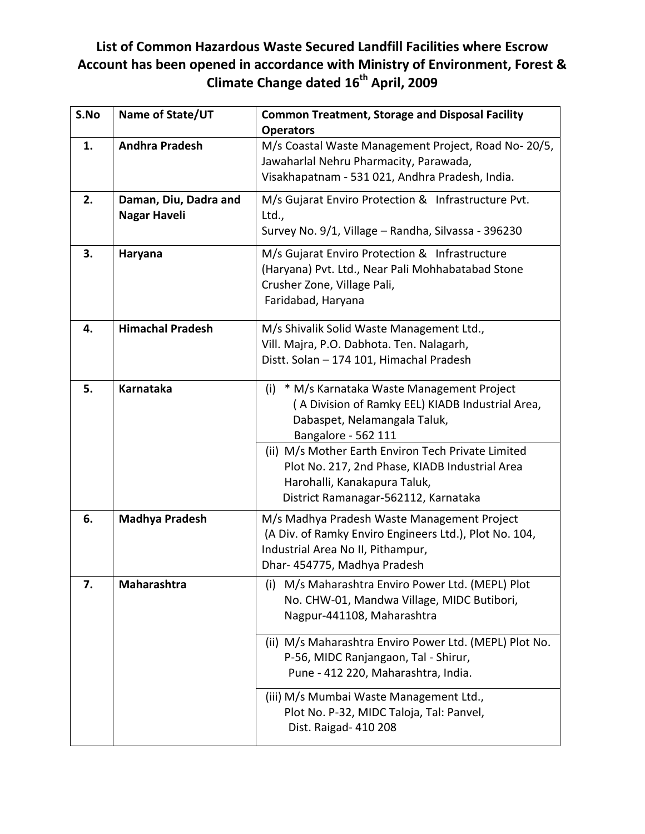## **List of Common Hazardous Waste Secured Landfill Facilities where Escrow Account has been opened in accordance with Ministry of Environment, Forest & Climate Change dated 16th April, 2009**

| S.No | Name of State/UT                             | <b>Common Treatment, Storage and Disposal Facility</b><br><b>Operators</b>                                                                                                   |
|------|----------------------------------------------|------------------------------------------------------------------------------------------------------------------------------------------------------------------------------|
| 1.   | <b>Andhra Pradesh</b>                        | M/s Coastal Waste Management Project, Road No-20/5,<br>Jawaharlal Nehru Pharmacity, Parawada,<br>Visakhapatnam - 531 021, Andhra Pradesh, India.                             |
| 2.   | Daman, Diu, Dadra and<br><b>Nagar Haveli</b> | M/s Gujarat Enviro Protection & Infrastructure Pvt.<br>Ltd.,<br>Survey No. 9/1, Village - Randha, Silvassa - 396230                                                          |
| 3.   | Haryana                                      | M/s Gujarat Enviro Protection & Infrastructure<br>(Haryana) Pvt. Ltd., Near Pali Mohhabatabad Stone<br>Crusher Zone, Village Pali,<br>Faridabad, Haryana                     |
| 4.   | <b>Himachal Pradesh</b>                      | M/s Shivalik Solid Waste Management Ltd.,<br>Vill. Majra, P.O. Dabhota. Ten. Nalagarh,<br>Distt. Solan - 174 101, Himachal Pradesh                                           |
| 5.   | <b>Karnataka</b>                             | * M/s Karnataka Waste Management Project<br>(i)<br>(A Division of Ramky EEL) KIADB Industrial Area,<br>Dabaspet, Nelamangala Taluk,<br>Bangalore - 562 111                   |
|      |                                              | (ii) M/s Mother Earth Environ Tech Private Limited<br>Plot No. 217, 2nd Phase, KIADB Industrial Area<br>Harohalli, Kanakapura Taluk,<br>District Ramanagar-562112, Karnataka |
| 6.   | <b>Madhya Pradesh</b>                        | M/s Madhya Pradesh Waste Management Project<br>(A Div. of Ramky Enviro Engineers Ltd.), Plot No. 104,<br>Industrial Area No II, Pithampur,<br>Dhar- 454775, Madhya Pradesh   |
| 7.   | <b>Maharashtra</b>                           | M/s Maharashtra Enviro Power Ltd. (MEPL) Plot<br>(i)<br>No. CHW-01, Mandwa Village, MIDC Butibori,<br>Nagpur-441108, Maharashtra                                             |
|      |                                              | (ii) M/s Maharashtra Enviro Power Ltd. (MEPL) Plot No.<br>P-56, MIDC Ranjangaon, Tal - Shirur,<br>Pune - 412 220, Maharashtra, India.                                        |
|      |                                              | (iii) M/s Mumbai Waste Management Ltd.,<br>Plot No. P-32, MIDC Taloja, Tal: Panvel,<br>Dist. Raigad- 410 208                                                                 |